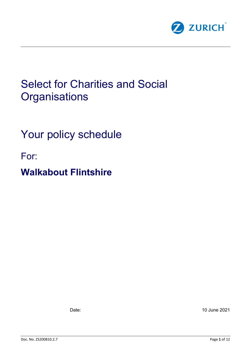

# Select for Charities and Social **Organisations**

# Your policy schedule

For:

# **Walkabout Flintshire**

Date: 10 June 2021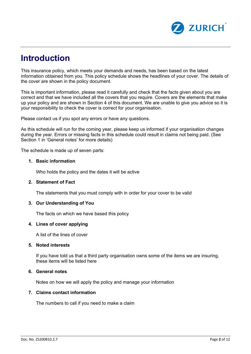

## **Introduction**

This insurance policy, which meets your demands and needs, has been based on the latest information obtained from you. This policy schedule shows the headlines of your cover. The details of the cover are shown in the policy document.

This is important information, please read it carefully and check that the facts given about you are correct and that we have included all the covers that you require. Covers are the elements that make up your policy and are shown in Section 4 of this document. We are unable to give you advice so it is your responsibility to check the cover is correct for your organisation.

Please contact us if you spot any errors or have any questions.

As this schedule will run for the coming year, please keep us informed if your organisation changes during the year. Errors or missing facts in this schedule could result in claims not being paid. (See Section 1 in 'General notes' for more details)

The schedule is made up of seven parts:

#### **1. Basic information**

Who holds the policy and the dates it will be active

#### **2. Statement of Fact**

The statements that you must comply with in order for your cover to be valid

#### **3. Our Understanding of You**

The facts on which we have based this policy

#### **4. Lines of cover applying**

A list of the lines of cover

#### **5. Noted interests**

If you have told us that a third party organisation owns some of the items we are insuring, these items will be listed here

#### **6. General notes**

Notes on how we will apply the policy and manage your information

#### **7. Claims contact information**

The numbers to call if you need to make a claim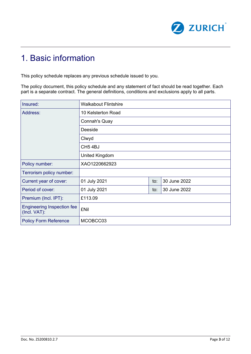

# 1. Basic information

This policy schedule replaces any previous schedule issued to you.

The policy document, this policy schedule and any statement of fact should be read together. Each part is a separate contract. The general definitions, conditions and exclusions apply to all parts.

| Insured:                                          | <b>Walkabout Flintshire</b> |     |              |  |
|---------------------------------------------------|-----------------------------|-----|--------------|--|
| Address:                                          | 10 Kelsterton Road          |     |              |  |
|                                                   | <b>Connah's Quay</b>        |     |              |  |
|                                                   | Deeside                     |     |              |  |
|                                                   | Clwyd                       |     |              |  |
|                                                   | CH <sub>5</sub> 4BJ         |     |              |  |
|                                                   | United Kingdom              |     |              |  |
| Policy number:                                    | XAO1220662923               |     |              |  |
| Terrorism policy number:                          |                             |     |              |  |
| Current year of cover:                            | 01 July 2021                | to: | 30 June 2022 |  |
| Period of cover:                                  | 01 July 2021                |     | 30 June 2022 |  |
| Premium (Incl. IPT):                              | £113.09                     |     |              |  |
| <b>Engineering Inspection fee</b><br>(Incl. VAT): | <b>£Nil</b>                 |     |              |  |
| <b>Policy Form Reference</b>                      | MCOBCC03                    |     |              |  |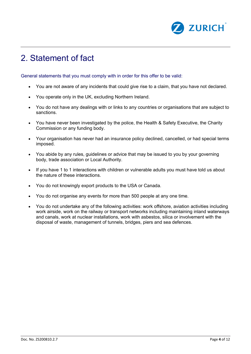

# 2. Statement of fact

General statements that you must comply with in order for this offer to be valid:

- You are not aware of any incidents that could give rise to a claim, that you have not declared.
- You operate only in the UK, excluding Northern Ireland.
- You do not have any dealings with or links to any countries or organisations that are subject to sanctions.
- You have never been investigated by the police, the Health & Safety Executive, the Charity Commission or any funding body.
- Your organisation has never had an insurance policy declined, cancelled, or had special terms imposed.
- You abide by any rules, guidelines or advice that may be issued to you by your governing body, trade association or Local Authority.
- If you have 1 to 1 interactions with children or vulnerable adults you must have told us about the nature of these interactions.
- You do not knowingly export products to the USA or Canada.
- You do not organise any events for more than 500 people at any one time.
- You do not undertake any of the following activities: work offshore, aviation activities including work airside, work on the railway or transport networks including maintaining inland waterways and canals, work at nuclear installations, work with asbestos, silica or involvement with the disposal of waste, management of tunnels, bridges, piers and sea defences.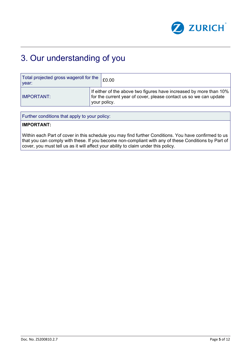

# 3. Our understanding of you

| Total projected gross wageroll for the<br>vear: |                                                                                                                                                         | £0.00 |
|-------------------------------------------------|---------------------------------------------------------------------------------------------------------------------------------------------------------|-------|
| <b>IMPORTANT:</b>                               | If either of the above two figures have increased by more than 10%<br>for the current year of cover, please contact us so we can update<br>your policy. |       |

Further conditions that apply to your policy:

#### **IMPORTANT:**

Within each Part of cover in this schedule you may find further Conditions. You have confirmed to us that you can comply with these. If you become non-compliant with any of these Conditions by Part of cover, you must tell us as it will affect your ability to claim under this policy.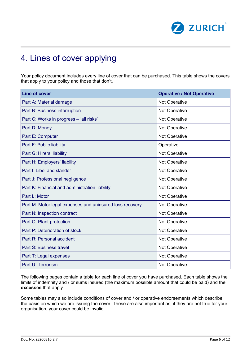

# 4. Lines of cover applying

Your policy document includes every line of cover that can be purchased. This table shows the covers that apply to your policy and those that don't.

| <b>Line of cover</b>                                     | <b>Operative / Not Operative</b> |
|----------------------------------------------------------|----------------------------------|
| Part A: Material damage                                  | Not Operative                    |
| Part B: Business interruption                            | Not Operative                    |
| Part C: Works in progress - 'all risks'                  | Not Operative                    |
| Part D: Money                                            | Not Operative                    |
| Part E: Computer                                         | Not Operative                    |
| Part F: Public liability                                 | Operative                        |
| Part G: Hirers' liability                                | Not Operative                    |
| Part H: Employers' liability                             | Not Operative                    |
| Part I: Libel and slander                                | Not Operative                    |
| Part J: Professional negligence                          | Not Operative                    |
| Part K: Financial and administration liability           | Not Operative                    |
| Part L: Motor                                            | Not Operative                    |
| Part M: Motor legal expenses and uninsured loss recovery | Not Operative                    |
| Part N: Inspection contract                              | Not Operative                    |
| Part O: Plant protection                                 | Not Operative                    |
| Part P: Deterioration of stock                           | Not Operative                    |
| Part R: Personal accident                                | Not Operative                    |
| Part S: Business travel                                  | Not Operative                    |
| Part T: Legal expenses                                   | Not Operative                    |
| Part U: Terrorism                                        | Not Operative                    |

The following pages contain a table for each line of cover you have purchased. Each table shows the limits of indemnity and / or sums insured (the maximum possible amount that could be paid) and the **excesses** that apply.

Some tables may also include conditions of cover and / or operative endorsements which describe the basis on which we are issuing the cover. These are also important as, if they are not true for your organisation, your cover could be invalid.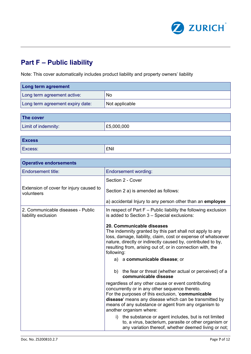

### **Part F – Public liability**

 $\mathbf{r}$ 

Note: This cover automatically includes product liability and property owners' liability

| <b>Long term agreement</b>       |                |  |  |
|----------------------------------|----------------|--|--|
| Long term agreement active:      | No             |  |  |
| Long term agreement expiry date: | Not applicable |  |  |
|                                  |                |  |  |

| The cover           |            |
|---------------------|------------|
| Limit of indemnity: | E5,000,000 |
|                     |            |

| <b>Excess</b> |             |
|---------------|-------------|
| Excess:       | <b>£Nil</b> |

| <b>Operative endorsements</b>                            |                                                                                                                                                                                                                                                                                                                                         |  |
|----------------------------------------------------------|-----------------------------------------------------------------------------------------------------------------------------------------------------------------------------------------------------------------------------------------------------------------------------------------------------------------------------------------|--|
| Endorsement title:                                       | <b>Endorsement wording:</b>                                                                                                                                                                                                                                                                                                             |  |
|                                                          | Section 2 - Cover                                                                                                                                                                                                                                                                                                                       |  |
| Extension of cover for injury caused to<br>volunteers    | Section 2 a) is amended as follows:                                                                                                                                                                                                                                                                                                     |  |
|                                                          | a) accidental Injury to any person other than an employee                                                                                                                                                                                                                                                                               |  |
| 2. Communicable diseases - Public<br>liability exclusion | In respect of Part F - Public liability the following exclusion<br>is added to Section 3 - Special exclusions:                                                                                                                                                                                                                          |  |
|                                                          | 20. Communicable diseases<br>The indemnity granted by this part shall not apply to any<br>loss, damage, liability, claim, cost or expense of whatsoever<br>nature, directly or indirectly caused by, contributed to by,<br>resulting from, arising out of, or in connection with, the<br>following:<br>a communicable disease; or<br>a) |  |
|                                                          | the fear or threat (whether actual or perceived) of a<br>b)<br>communicable disease                                                                                                                                                                                                                                                     |  |
|                                                          | regardless of any other cause or event contributing<br>concurrently or in any other sequence thereto.<br>For the purposes of this exclusion, 'communicable<br>disease' means any disease which can be transmitted by<br>means of any substance or agent from any organism to<br>another organism where:                                 |  |
|                                                          | the substance or agent includes, but is not limited<br>i)<br>to, a virus, bacterium, parasite or other organism or<br>any variation thereof, whether deemed living or not;                                                                                                                                                              |  |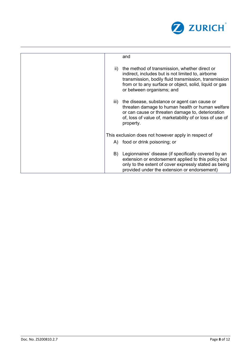

|     | and                                                                                                                                                                                                                                                 |
|-----|-----------------------------------------------------------------------------------------------------------------------------------------------------------------------------------------------------------------------------------------------------|
| ii) | the method of transmission, whether direct or<br>indirect, includes but is not limited to, airborne<br>transmission, bodily fluid transmission, transmission<br>from or to any surface or object, solid, liquid or gas<br>or between organisms; and |
|     | iii) the disease, substance or agent can cause or<br>threaten damage to human health or human welfare<br>or can cause or threaten damage to, deterioration<br>of, loss of value of, marketability of or loss of use of<br>property.                 |
|     | This exclusion does not however apply in respect of                                                                                                                                                                                                 |
|     | A) food or drink poisoning; or                                                                                                                                                                                                                      |
| B)  | Legionnaires' disease (if specifically covered by an<br>extension or endorsement applied to this policy but<br>only to the extent of cover expressly stated as being<br>provided under the extension or endorsement)                                |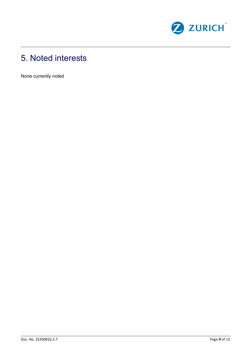

# 5. Noted interests

None currently noted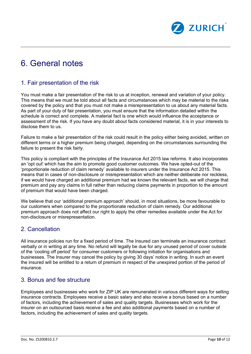

# 6. General notes

### 1. Fair presentation of the risk

You must make a fair presentation of the risk to us at inception, renewal and variation of your policy. This means that we must be told about all facts and circumstances which may be material to the risks covered by the policy and that you must not make a misrepresentation to us about any material facts. As part of your duty of fair presentation, you must ensure that the information detailed within the schedule is correct and complete. A material fact is one which would influence the acceptance or assessment of the risk. If you have any doubt about facts considered material, it is in your interests to disclose them to us.

Failure to make a fair presentation of the risk could result in the policy either being avoided, written on different terms or a higher premium being charged, depending on the circumstances surrounding the failure to present the risk fairly.

This policy is compliant with the principles of the Insurance Act 2015 law reforms. It also incorporates an 'opt out' which has the aim to promote good customer outcomes. We have opted-out of the 'proportionate reduction of claim remedy' available to insurers under the Insurance Act 2015. This means that in cases of non-disclosure or misrepresentation which are neither deliberate nor reckless, if we would have charged an additional premium had we known the relevant facts, we will charge that premium and pay any claims in full rather than reducing claims payments in proportion to the amount of premium that would have been charged.

We believe that our 'additional premium approach' should, in most situations, be more favourable to our customers when compared to the proportionate reduction of claim remedy. Our additional premium approach does not affect our right to apply the other remedies available under the Act for non-disclosure or misrepresentation.

### 2. Cancellation

All insurance policies run for a fixed period of time. The Insured can terminate an insurance contract verbally or in writing at any time. No refund will legally be due for any unused period of cover outside of the 'cooling off period' for consumer customers or following initiation for organisations and businesses. The Insurer may cancel the policy by giving 30 days' notice in writing. In such an event the insured will be entitled to a return of premium in respect of the unexpired portion of the period of insurance.

#### 3. Bonus and fee structure

Employees and businesses who work for ZIP UK are remunerated in various different ways for selling insurance contracts. Employees receive a basic salary and also receive a bonus based on a number of factors, including the achievement of sales and quality targets. Businesses which work for the insurer on an outsourced basis receive a fee and also additional payments based on a number of factors, including the achievement of sales and quality targets.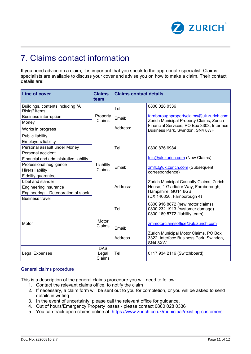

# 7. Claims contact information

If you need advice on a claim, it is important that you speak to the appropriate specialist. Claims specialists are available to discuss your cover and advise you on how to make a claim. Their contact details are:

| <b>Line of cover</b>                                      | <b>Claims</b><br>team | <b>Claims contact details</b> |                                                                                                       |
|-----------------------------------------------------------|-----------------------|-------------------------------|-------------------------------------------------------------------------------------------------------|
| Buildings, contents including "All<br><b>Risks"</b> Items |                       | Tel:                          | 0800 028 0336                                                                                         |
| <b>Business interruption</b>                              | Property              | Email:                        | farnboroughpropertyclaims@uk.zurich.com                                                               |
| Money                                                     | Claims                |                               | Zurich Municipal Property Claims, Zurich<br>Financial Services, PO Box 3303, Interface                |
| Works in progress                                         |                       | Address:                      | Business Park, Swindon, SN4 8WF                                                                       |
| Public liability                                          |                       |                               |                                                                                                       |
| <b>Employers liability</b>                                |                       |                               |                                                                                                       |
| Personal assault under Money                              |                       | Tel:                          | 0800 876 6984                                                                                         |
| Personal accident                                         |                       |                               |                                                                                                       |
| Financial and administrative liability                    |                       |                               | fnlc@uk.zurich.com (New Claims)                                                                       |
| Professional negligence                                   | Liability             | Email:                        | zmflc@uk.zurich.com (Subsequent                                                                       |
| <b>Hirers liability</b>                                   | Claims                |                               | correspondence)                                                                                       |
| Fidelity guarantee                                        |                       |                               |                                                                                                       |
| Libel and slander                                         |                       |                               | Zurich Municipal Casualty Claims, Zurich                                                              |
| <b>Engineering insurance</b>                              |                       | Address:                      | House, 1 Gladiator Way, Farnborough,                                                                  |
| Engineering - Deterioration of stock                      |                       |                               | Hampshire, GU14 6GB                                                                                   |
| <b>Business travel</b>                                    |                       |                               | (DX 140850, Farnborough 4)                                                                            |
|                                                           |                       | Tel:                          | 0800 916 8872 (new motor claims)<br>0800 232 1913 (customer damage)<br>0800 169 5772 (liability team) |
| Motor                                                     | Motor<br>Claims       | Email:                        | zmmotorclaimsoffice@uk.zurich.com                                                                     |
|                                                           |                       |                               | Zurich Municipal Motor Claims, PO Box                                                                 |
|                                                           |                       | <b>Address</b>                | 3322, Interface Business Park, Swindon,<br>SN48XW                                                     |
|                                                           | <b>DAS</b>            |                               |                                                                                                       |
| Legal Expenses                                            | Legal<br>Claims       | Tel:                          | 0117 934 2116 (Switchboard)                                                                           |

#### General claims procedure

This is a description of the general claims procedure you will need to follow:

- 1. Contact the relevant claims office, to notify the claim
- 2. If necessary, a claim form will be sent out to you for completion, or you will be asked to send details in writing
- 3. In the event of uncertainty, please call the relevant office for guidance.
- 4. Out of hours/Emergency Property losses please contact 0800 028 0336
- 5. You can track open claims online at:<https://www.zurich.co.uk/municipal/existing-customers>